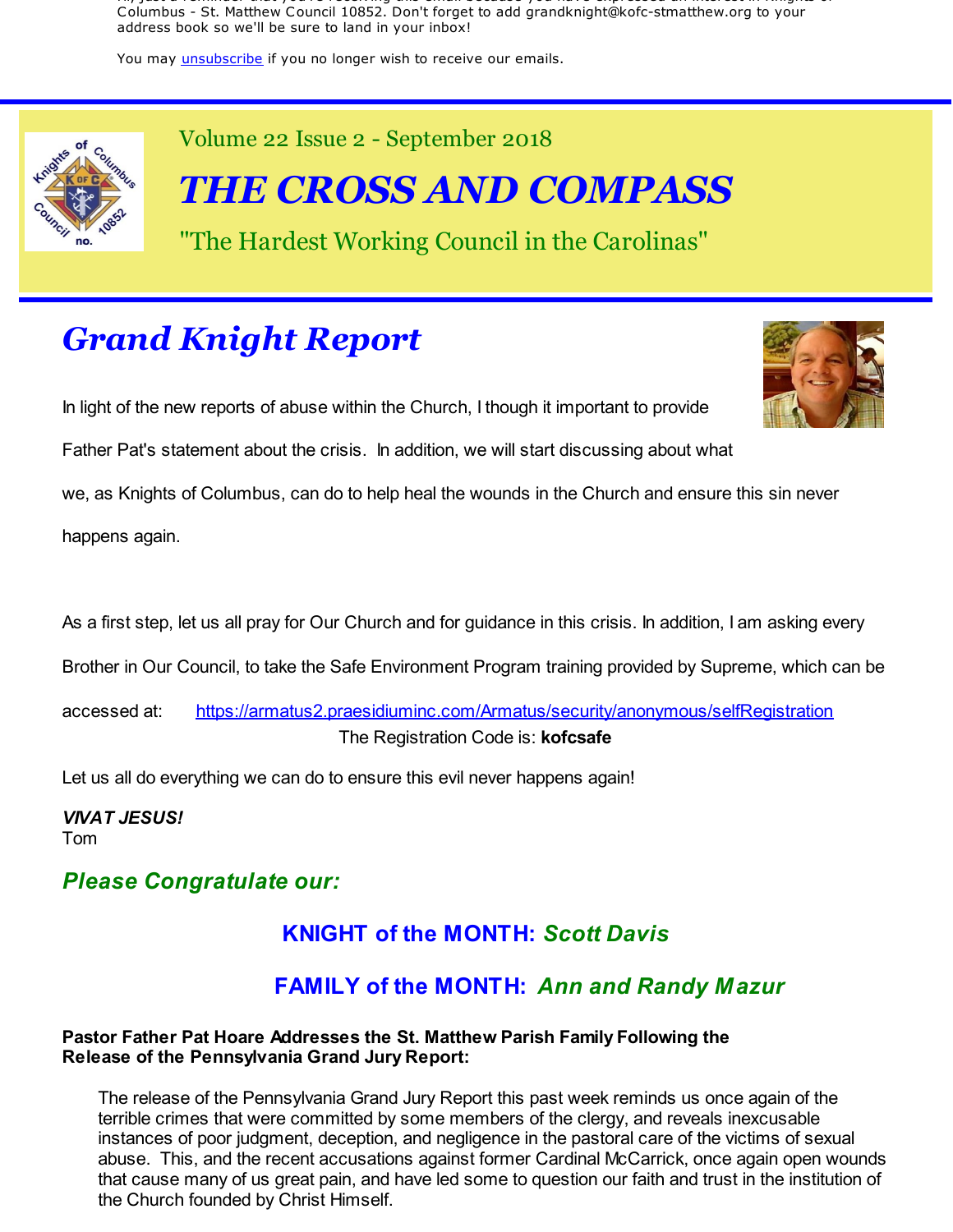Hi, just a reminder that you're receiving this email because you have expressed an interest in Knights of Columbus - St. Matthew Council 10852. Don't forget to add grandknight@kofc-stmatthew.org to your address book so we'll be sure to land in your inbox!

You may *unsubscribe* if you no longer wish to receive our emails.



Volume 22 Issue 2 - September 2018

*THE CROSS AND COMPASS*

"The Hardest Working Council in the Carolinas"

# *Grand Knight Report*

In light of the new reports of abuse within the Church, I though it important to provide



Father Pat's statement about the crisis. In addition, we will start discussing about what

we, as Knights of Columbus, can do to help heal the wounds in the Church and ensure this sin never

happens again.

As a first step, let us all pray for Our Church and for guidance in this crisis. In addition, I am asking every

Brother in Our Council, to take the Safe Environment Program training provided by Supreme, which can be

accessed at: https://armatus2.praesidiuminc.com/Armatus/security/anonymous/selfRegistration The Registration Code is: **kofcsafe**

Let us all do everything we can do to ensure this evil never happens again!

*VIVAT JESUS!* Tom

## *Please Congratulate our:*

## **KNIGHT of the MONTH:** *Scott Davis*

## **FAMILY of the MONTH:** *Ann and Randy Mazur*

#### **Pastor Father Pat Hoare Addresses the St. Matthew Parish Family Following the Release of the Pennsylvania Grand Jury Report:**

The release of the Pennsylvania Grand Jury Report this past week reminds us once again of the terrible crimes that were committed by some members of the clergy, and reveals inexcusable instances of poor judgment, deception, and negligence in the pastoral care of the victims of sexual abuse. This, and the recent accusations against former Cardinal McCarrick, once again open wounds that cause many of us great pain, and have led some to question our faith and trust in the institution of the Church founded by Christ Himself.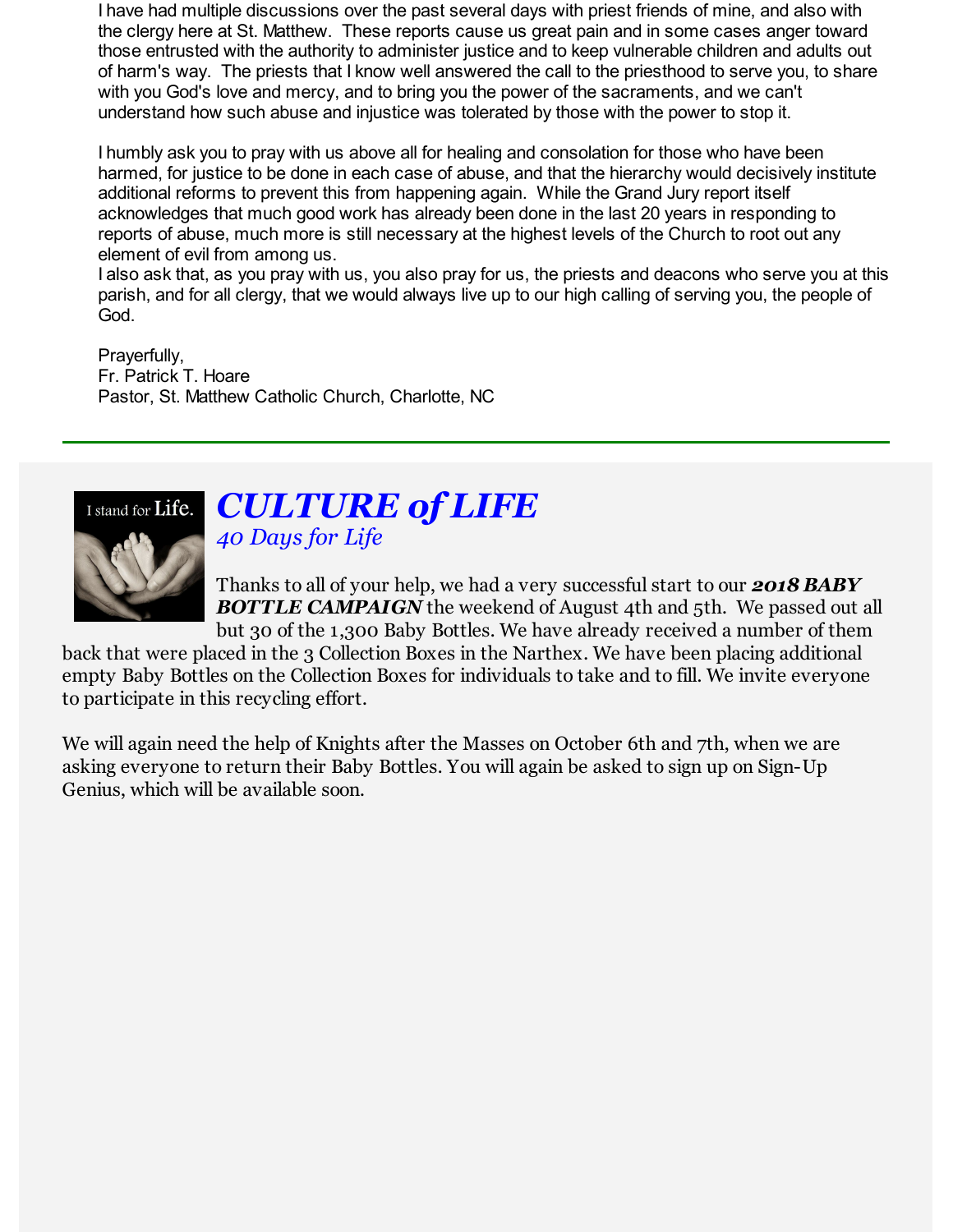I have had multiple discussions over the past several days with priest friends of mine, and also with the clergy here at St. Matthew. These reports cause us great pain and in some cases anger toward those entrusted with the authority to administer justice and to keep vulnerable children and adults out of harm's way. The priests that I know well answered the call to the priesthood to serve you, to share with you God's love and mercy, and to bring you the power of the sacraments, and we can't understand how such abuse and injustice was tolerated by those with the power to stop it.

I humbly ask you to pray with us above all for healing and consolation for those who have been harmed, for justice to be done in each case of abuse, and that the hierarchy would decisively institute additional reforms to prevent this from happening again. While the Grand Jury report itself acknowledges that much good work has already been done in the last 20 years in responding to reports of abuse, much more is still necessary at the highest levels of the Church to root out any element of evil from among us.

I also ask that, as you pray with us, you also pray for us, the priests and deacons who serve you at this parish, and for all clergy, that we would always live up to our high calling of serving you, the people of God.

Prayerfully, Fr. Patrick T. Hoare Pastor, St. Matthew Catholic Church, Charlotte, NC



## *CULTURE of LIFE 40 Days for Life*

Thanks to all of your help, we had a very successful start to our *2018 BABY* **BOTTLE CAMPAIGN** the weekend of August 4th and 5th. We passed out all but 30 of the 1,300 Baby Bottles. We have already received a number of them

back that were placed in the 3 Collection Boxes in the Narthex. We have been placing additional empty Baby Bottles on the Collection Boxes for individuals to take and to fill. We invite everyone to participate in this recycling effort.

We will again need the help of Knights after the Masses on October 6th and 7th, when we are asking everyone to return their Baby Bottles. You will again be asked to sign up on Sign-Up Genius, which will be available soon.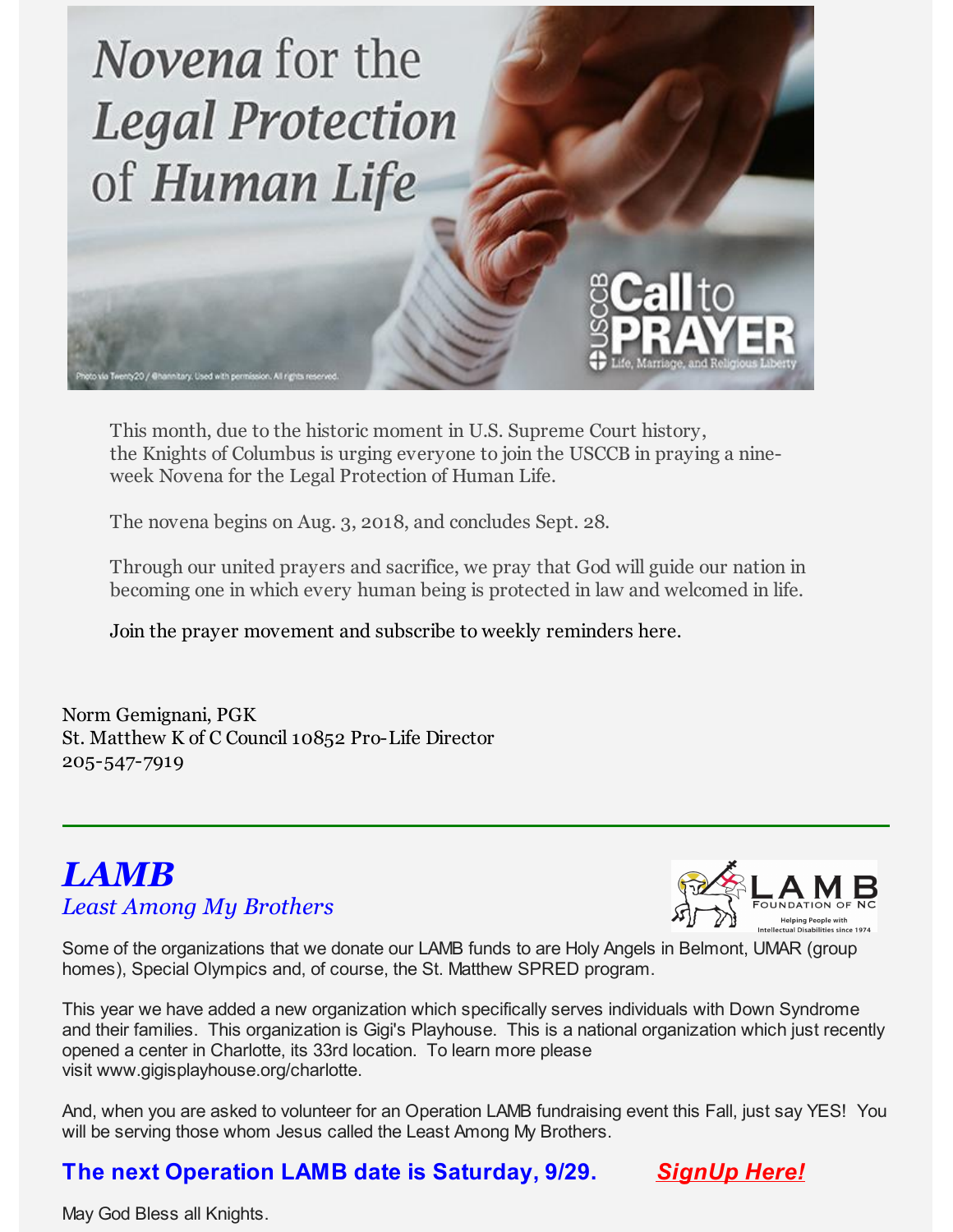

This month, due to the historic moment in U.S. Supreme Court history, the Knights of Columbus is urging everyone to join the USCCB in praying a nineweek Novena for the Legal Protection of Human Life.

The novena begins on Aug. 3, 2018, and concludes Sept. 28.

Through our united prayers and sacrifice, we pray that God will guide our nation in becoming one in which every human being is protected in law and welcomed in life.

Join the prayer movement and subscribe to weekly reminders here.

Norm Gemignani, PGK St. Matthew K of C Council 10852 Pro-Life Director 205-547-7919

## *LAMB Least Among My Brothers*



Some of the organizations that we donate our LAMB funds to are Holy Angels in Belmont, UMAR (group homes), Special Olympics and, of course, the St. Matthew SPRED program.

This year we have added a new organization which specifically serves individuals with Down Syndrome and their families. This organization is Gigi's Playhouse. This is a national organization which just recently opened a center in Charlotte, its 33rd location. To learn more please visit www.gigisplayhouse.org/charlotte.

And, when you are asked to volunteer for an Operation LAMB fundraising event this Fall, just say YES! You will be serving those whom Jesus called the Least Among My Brothers.

## **The next Operation LAMB date is Saturday, 9/29.** *SignUp Here!*



May God Bless all Knights.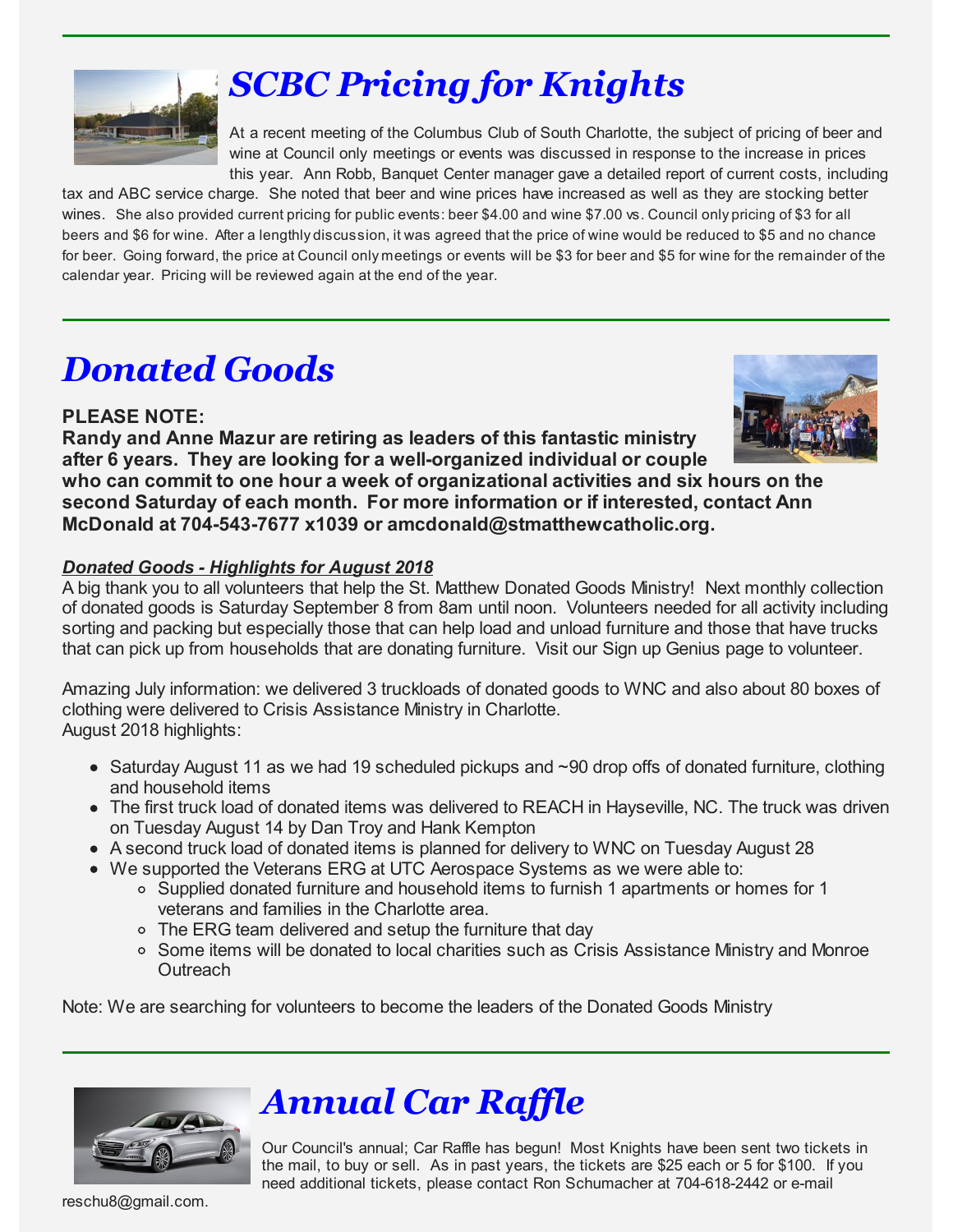

# *SCBC Pricing for Knights*

At a recent meeting of the Columbus Club of South Charlotte, the subject of pricing of beer and wine at Council only meetings or events was discussed in response to the increase in prices this year. Ann Robb, Banquet Center manager gave a detailed report of current costs, including

tax and ABC service charge. She noted that beer and wine prices have increased as well as they are stocking better wines. She also provided current pricing for public events: beer \$4.00 and wine \$7.00 vs. Council only pricing of \$3 for all beers and \$6 for wine. After a lengthly discussion, it was agreed that the price of wine would be reduced to \$5 and no chance for beer. Going forward, the price at Council only meetings or events will be \$3 for beer and \$5 for wine for the remainder of the calendar year. Pricing will be reviewed again at the end of the year.

# *Donated Goods*

## **PLEASE NOTE:**

**Randy and Anne Mazur are retiring as leaders of this fantastic ministry after 6 years. They are looking for a well-organized individual or couple who can commit to one hour a week of organizational activities and six hours on the second Saturday of each month. For more information or if interested, contact Ann McDonald at 704-543-7677 x1039 or amcdonald@stmatthewcatholic.org.**

#### *Donated Goods - Highlights for August 2018*

A big thank you to all volunteers that help the St. Matthew Donated Goods Ministry! Next monthly collection of donated goods is Saturday September 8 from 8am until noon. Volunteers needed for all activity including sorting and packing but especially those that can help load and unload furniture and those that have trucks that can pick up from households that are donating furniture. Visit our Sign up Genius page to volunteer.

Amazing July information: we delivered 3 truckloads of donated goods to WNC and also about 80 boxes of clothing were delivered to Crisis Assistance Ministry in Charlotte. August 2018 highlights:

- $\bullet$  Saturday August 11 as we had 19 scheduled pickups and  $\sim$ 90 drop offs of donated furniture, clothing and household items
- The first truck load of donated items was delivered to REACH in Hayseville, NC. The truck was driven on Tuesday August 14 by Dan Troy and Hank Kempton
- A second truck load of donated items is planned for delivery to WNC on Tuesday August 28
- We supported the Veterans ERG at UTC Aerospace Systems as we were able to:
	- Supplied donated furniture and household items to furnish 1 apartments or homes for 1 veterans and families in the Charlotte area.
	- The ERG team delivered and setup the furniture that day
	- o Some items will be donated to local charities such as Crisis Assistance Ministry and Monroe **Outreach**

Note: We are searching for volunteers to become the leaders of the Donated Goods Ministry



# *Annual Car Raffle*

Our Council's annual; Car Raffle has begun! Most Knights have been sent two tickets in the mail, to buy or sell. As in past years, the tickets are \$25 each or 5 for \$100. If you need additional tickets, please contact Ron Schumacher at 704-618-2442 or e-mail

reschu8@gmail.com.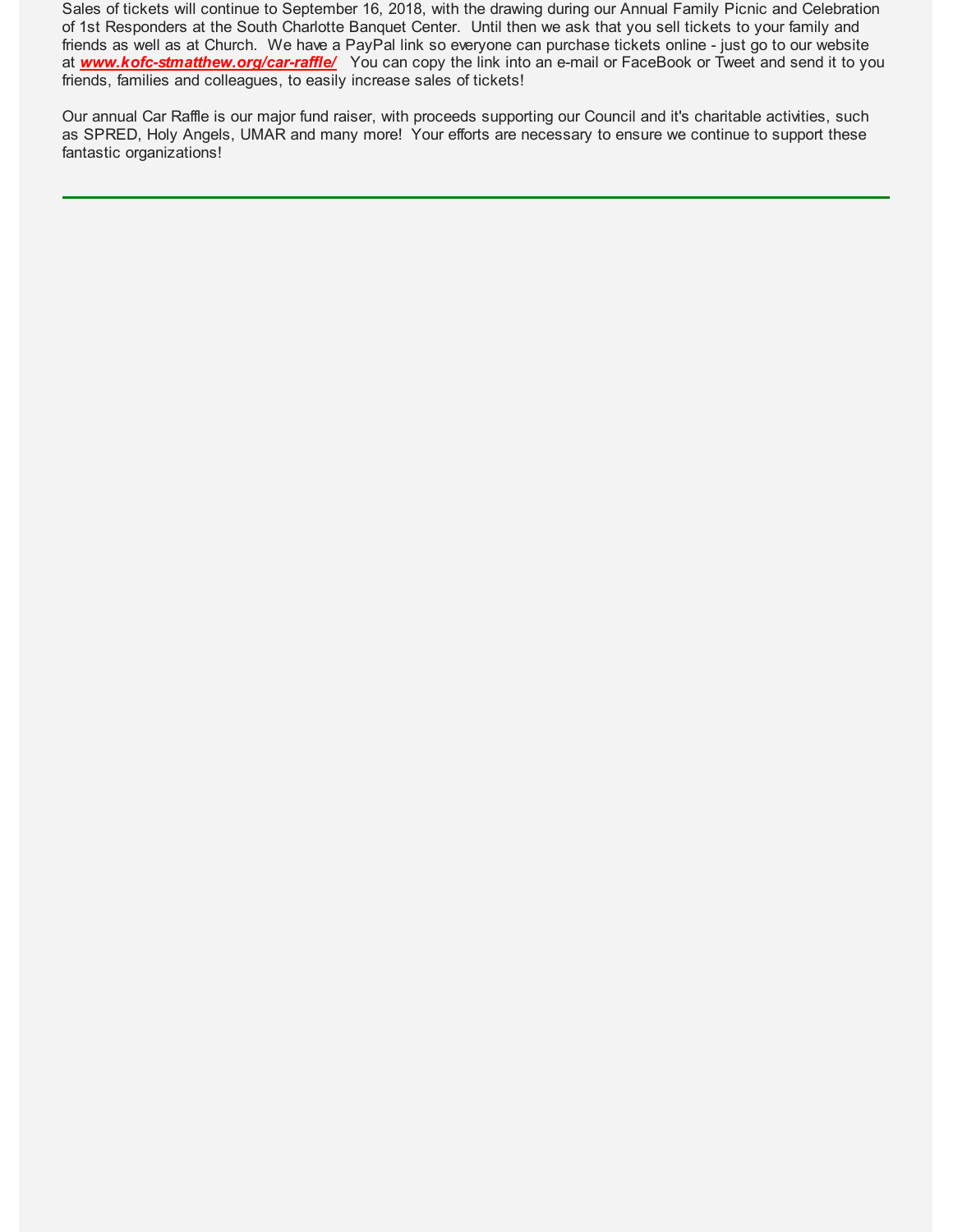Sales of tickets will continue to September 16, 2018, with the drawing during our Annual Family Picnic and Celebration of 1st Responders at the South Charlotte Banquet Center. Until then we ask that you sell tickets to your family and friends as well as at Church. We have a PayPal link so everyone can purchase tickets online - just go to our website at *www.kofc-stmatthew.org/car-raffle/* You can copy the link into an e-mail or FaceBook or Tweet and send it to you friends, families and colleagues, to easily increase sales of tickets!

Our annual Car Raffle is our major fund raiser, with proceeds supporting our Council and it's charitable activities, such as SPRED, Holy Angels, UMAR and many more! Your efforts are necessary to ensure we continue to support these fantastic organizations!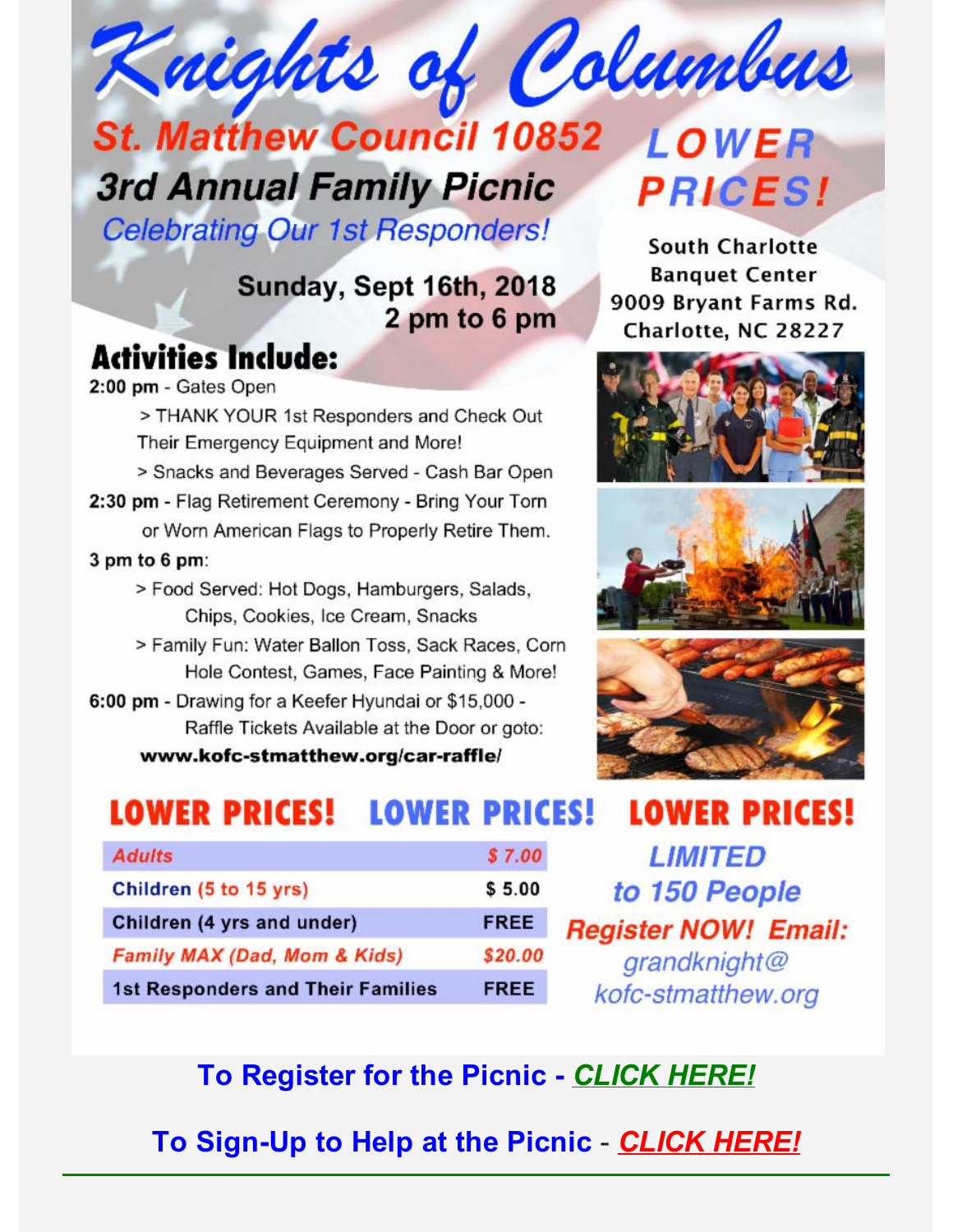# Knights of Columbus **St. Matthew Council 10852** LOWER

# **3rd Annual Family Picnic**

**Celebrating Our 1st Responders!** 

## Sunday, Sept 16th, 2018 2 pm to 6 pm

# **Activities Include:**

2:00 pm - Gates Open

> THANK YOUR 1st Responders and Check Out Their Emergency Equipment and More!

- > Snacks and Beverages Served Cash Bar Open
- 2:30 pm Flag Retirement Ceremony Bring Your Torn or Worn American Flags to Properly Retire Them.

 $3$  pm to  $6$  pm:

- > Food Served: Hot Dogs, Hamburgers, Salads, Chips, Cookies, Ice Cream, Snacks
- > Family Fun: Water Ballon Toss, Sack Races, Corn Hole Contest, Games, Face Painting & More!
- 6:00 pm Drawing for a Keefer Hyundai or \$15,000 -Raffle Tickets Available at the Door or goto: www.kofc-stmatthew.org/car-raffle/

**South Charlotte Banquet Center** 9009 Bryant Farms Rd. Charlotte, NC 28227

**PRICES!** 







#### **LOWER PRICES! LOWER PRICES! LOWER PRICES!**

| <b>Adults</b>                            | \$7.00      |
|------------------------------------------|-------------|
| Children (5 to 15 yrs)                   | \$5.00      |
| Children (4 yrs and under)               | <b>FREE</b> |
| Family MAX (Dad, Mom & Kids)             | \$20.00     |
| <b>1st Responders and Their Families</b> | <b>FREE</b> |

**LIMITED** to 150 People **Register NOW! Email:** grandknight@ kofc-stmatthew.org

## **To Register for the Picnic -** *CLICK HERE!*

**To Sign-Up to Help at the Picnic** - *CLICK HERE!*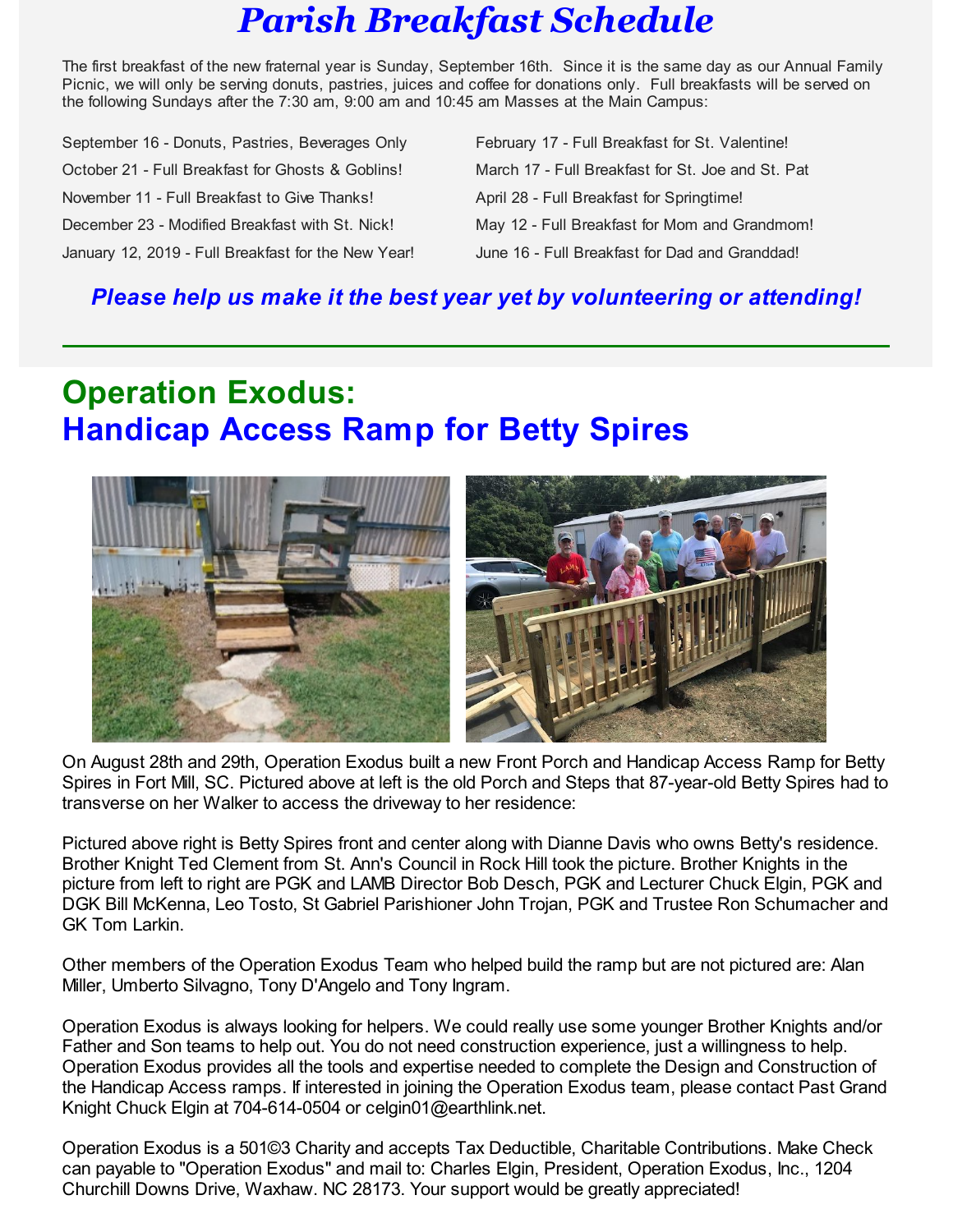# *Parish Breakfast Schedule*

The first breakfast of the new fraternal year is Sunday, September 16th. Since it is the same day as our Annual Family Picnic, we will only be serving donuts, pastries, juices and coffee for donations only. Full breakfasts will be served on the following Sundays after the 7:30 am, 9:00 am and 10:45 am Masses at the Main Campus:

September 16 - Donuts, Pastries, Beverages Only February 17 - Full Breakfast for St. Valentine! October 21 - Full Breakfast for Ghosts & Goblins! March 17 - Full Breakfast for St. Joe and St. Pat November 11 - Full Breakfast to Give Thanks! April 28 - Full Breakfast for Springtime! December 23 - Modified Breakfast with St. Nick! May 12 - Full Breakfast for Mom and Grandmom! January 12, 2019 - Full Breakfast for the New Year! June 16 - Full Breakfast for Dad and Granddad!

## *Please help us make it the best year yet by volunteering or attending!*

# **Operation Exodus: Handicap Access Ramp for Betty Spires**



On August 28th and 29th, Operation Exodus built a new Front Porch and Handicap Access Ramp for Betty Spires in Fort Mill, SC. Pictured above at left is the old Porch and Steps that 87-year-old Betty Spires had to transverse on her Walker to access the driveway to her residence:

Pictured above right is Betty Spires front and center along with Dianne Davis who owns Betty's residence. Brother Knight Ted Clement from St. Ann's Council in Rock Hill took the picture. Brother Knights in the picture from left to right are PGK and LAMB Director Bob Desch, PGK and Lecturer Chuck Elgin, PGK and DGK Bill McKenna, Leo Tosto, St Gabriel Parishioner John Trojan, PGK and Trustee Ron Schumacher and GK Tom Larkin.

Other members of the Operation Exodus Team who helped build the ramp but are not pictured are: Alan Miller, Umberto Silvagno, Tony D'Angelo and Tony Ingram.

Operation Exodus is always looking for helpers. We could really use some younger Brother Knights and/or Father and Son teams to help out. You do not need construction experience, just a willingness to help. Operation Exodus provides all the tools and expertise needed to complete the Design and Construction of the Handicap Access ramps. If interested in joining the Operation Exodus team, please contact Past Grand Knight Chuck Elgin at 704-614-0504 or celgin01@earthlink.net.

Operation Exodus is a 501©3 Charity and accepts Tax Deductible, Charitable Contributions. Make Check can payable to "Operation Exodus" and mail to: Charles Elgin, President, Operation Exodus, Inc., 1204 Churchill Downs Drive, Waxhaw. NC 28173. Your support would be greatly appreciated!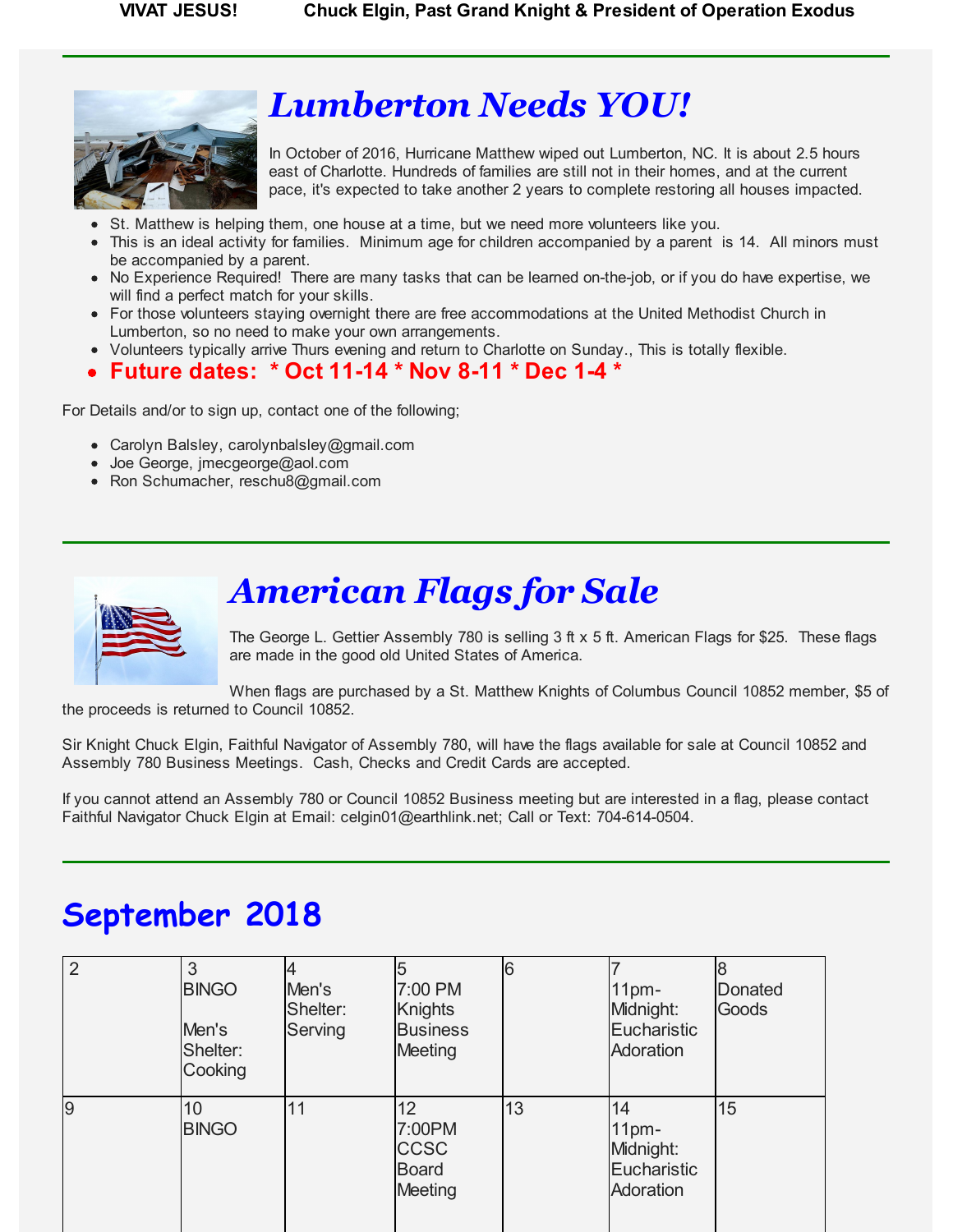

# *Lumberton Needs YOU!*

In October of 2016, Hurricane Matthew wiped out Lumberton, NC. It is about 2.5 hours east of Charlotte. Hundreds of families are still not in their homes, and at the current pace, it's expected to take another 2 years to complete restoring all houses impacted.

- St. Matthew is helping them, one house at a time, but we need more volunteers like you.
- This is an ideal activity for families. Minimum age for children accompanied by a parent is 14. All minors must be accompanied by a parent.
- No Experience Required! There are many tasks that can be learned on-the-job, or if you do have expertise, we will find a perfect match for your skills.
- For those volunteers staying overnight there are free accommodations at the United Methodist Church in Lumberton, so no need to make your own arrangements.
- Volunteers typically arrive Thurs evening and return to Charlotte on Sunday., This is totally flexible.

### **Future dates: \* Oct 11-14 \* Nov 8-11 \* Dec 1-4 \***

For Details and/or to sign up, contact one of the following;

- Carolyn Balsley, carolynbalsley@gmail.com
- Joe George, jmecgeorge@aol.com
- Ron Schumacher, reschu8@gmail.com



# *American Flags for Sale*

The George L. Gettier Assembly 780 is selling 3 ft x 5 ft. American Flags for \$25. These flags are made in the good old United States of America.

When flags are purchased by a St. Matthew Knights of Columbus Council 10852 member, \$5 of the proceeds is returned to Council 10852.

Sir Knight Chuck Elgin, Faithful Navigator of Assembly 780, will have the flags available for sale at Council 10852 and Assembly 780 Business Meetings. Cash, Checks and Credit Cards are accepted.

If you cannot attend an Assembly 780 or Council 10852 Business meeting but are interested in a flag, please contact Faithful Navigator Chuck Elgin at Email: celgin01@earthlink.net; Call or Text: 704-614-0504.

# **September 2018**

| $\overline{2}$ | 3<br><b>BINGO</b><br>Men's<br>Shelter:<br>Cooking | Men's<br>Shelter:<br>Serving | 7:00 PM<br><b>Knights</b><br><b>Business</b><br>Meeting                    | 6  | 11 <sub>pm</sub><br>Midnight:<br>Eucharistic<br>Adoration       | <b>Donated</b><br>Goods |
|----------------|---------------------------------------------------|------------------------------|----------------------------------------------------------------------------|----|-----------------------------------------------------------------|-------------------------|
| $\overline{9}$ | 10<br><b>BINGO</b>                                | 11                           | 12 <sup>2</sup><br>7:00PM<br><b>CCSC</b><br><b>Board</b><br><b>Meeting</b> | 13 | 14<br>11 <sub>pm</sub><br>Midnight:<br>Eucharistic<br>Adoration | 15                      |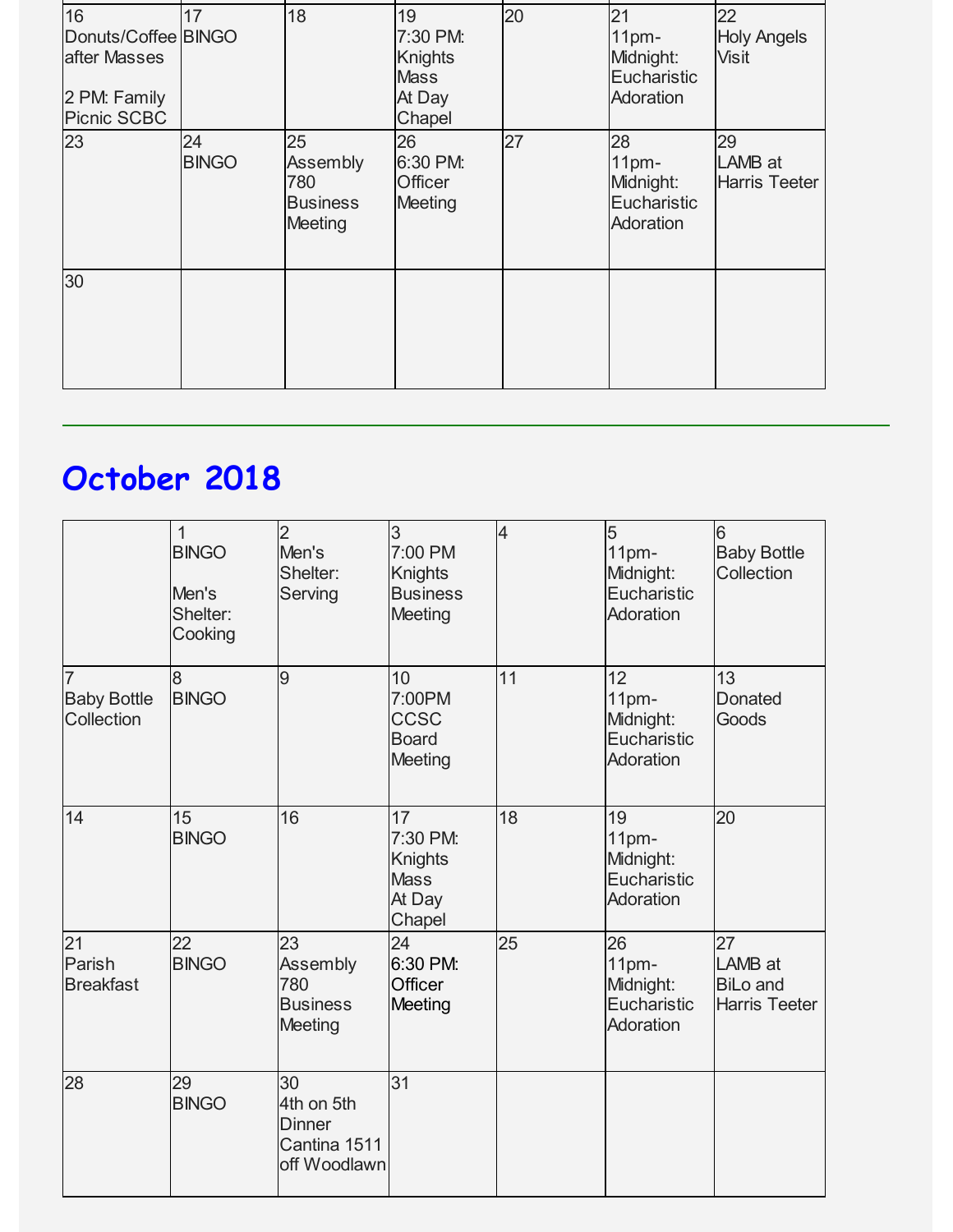| 16<br>Donuts/Coffee BINGO<br>after Masses<br>2 PM: Family<br><b>Picnic SCBC</b> | 17                 | 18                                                  | 19<br>7:30 PM:<br><b>Knights</b><br><b>Mass</b><br>At Day<br>Chapel | 20 | 21<br>11 <sub>pm</sub><br>Midnight:<br>Eucharistic<br>Adoration | 22<br><b>Holy Angels</b><br><b>Visit</b> |
|---------------------------------------------------------------------------------|--------------------|-----------------------------------------------------|---------------------------------------------------------------------|----|-----------------------------------------------------------------|------------------------------------------|
| 23                                                                              | 24<br><b>BINGO</b> | 25<br>Assembly<br>780<br><b>Business</b><br>Meeting | 26<br>6:30 PM:<br>Officer<br>Meeting                                | 27 | 28<br>11 <sub>pm</sub><br>Midnight:<br>Eucharistic<br>Adoration | 29<br>LAMB at<br><b>Harris Teeter</b>    |
| 30                                                                              |                    |                                                     |                                                                     |    |                                                                 |                                          |

# **October 2018**

|                                       | $\mathbf{1}$<br><b>BINGO</b><br>Men's<br>Shelter:<br>Cooking | $\overline{2}$<br>Men's<br>Shelter:<br>Serving                    | 3<br>7:00 PM<br><b>Knights</b><br><b>Business</b><br>Meeting        | $\overline{\mathcal{A}}$ | 5<br>11 <sub>pm</sub><br>Midnight:<br>Eucharistic<br>Adoration  | 6<br><b>Baby Bottle</b><br>Collection                    |
|---------------------------------------|--------------------------------------------------------------|-------------------------------------------------------------------|---------------------------------------------------------------------|--------------------------|-----------------------------------------------------------------|----------------------------------------------------------|
| 7<br><b>Baby Bottle</b><br>Collection | 8<br><b>BINGO</b>                                            | 9                                                                 | 10<br>7:00PM<br><b>CCSC</b><br><b>Board</b><br>Meeting              | 11                       | 12<br>11 <sub>pm</sub><br>Midnight:<br>Eucharistic<br>Adoration | 13<br><b>Donated</b><br>Goods                            |
| 14                                    | 15<br><b>BINGO</b>                                           | 16                                                                | 17<br>7:30 PM:<br><b>Knights</b><br><b>Mass</b><br>At Day<br>Chapel | 18                       | 19<br>11pm-<br>Midnight:<br>Eucharistic<br>Adoration            | 20                                                       |
| 21<br>Parish<br><b>Breakfast</b>      | 22<br><b>BINGO</b>                                           | 23<br>Assembly<br>780<br><b>Business</b><br>Meeting               | 24<br>6:30 PM:<br>Officer<br>Meeting                                | 25                       | 26<br>11pm-<br>Midnight:<br>Eucharistic<br>Adoration            | 27<br>LAMB at<br><b>BiLo and</b><br><b>Harris Teeter</b> |
| 28                                    | 29<br><b>BINGO</b>                                           | 30<br>4th on 5th<br><b>Dinner</b><br>Cantina 1511<br>off Woodlawn | 31                                                                  |                          |                                                                 |                                                          |